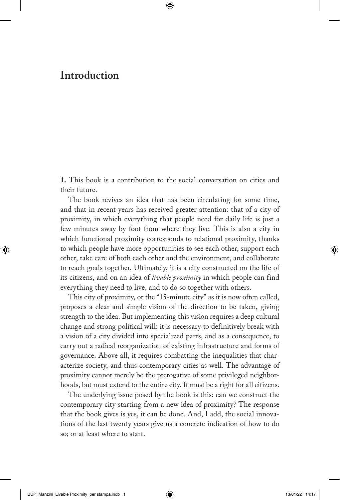## **Introduction**

**1.** This book is a contribution to the social conversation on cities and their future.

The book revives an idea that has been circulating for some time, and that in recent years has received greater attention: that of a city of proximity, in which everything that people need for daily life is just a few minutes away by foot from where they live. This is also a city in which functional proximity corresponds to relational proximity, thanks to which people have more opportunities to see each other, support each other, take care of both each other and the environment, and collaborate to reach goals together. Ultimately, it is a city constructed on the life of its citizens, and on an idea of *livable proximity* in which people can find everything they need to live, and to do so together with others.

This city of proximity, or the "15-minute city" as it is now often called, proposes a clear and simple vision of the direction to be taken, giving strength to the idea. But implementing this vision requires a deep cultural change and strong political will: it is necessary to definitively break with a vision of a city divided into specialized parts, and as a consequence, to carry out a radical reorganization of existing infrastructure and forms of governance. Above all, it requires combatting the inequalities that characterize society, and thus contemporary cities as well. The advantage of proximity cannot merely be the prerogative of some privileged neighborhoods, but must extend to the entire city. It must be a right for all citizens.

The underlying issue posed by the book is this: can we construct the contemporary city starting from a new idea of proximity? The response that the book gives is yes, it can be done. And, I add, the social innovations of the last twenty years give us a concrete indication of how to do so; or at least where to start.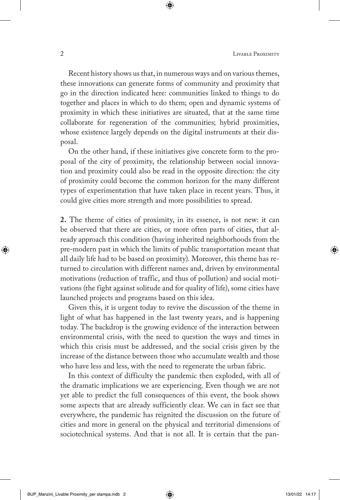Recent history shows us that, in numerous ways and on various themes, these innovations can generate forms of community and proximity that go in the direction indicated here: communities linked to things to do together and places in which to do them; open and dynamic systems of proximity in which these initiatives are situated, that at the same time collaborate for regeneration of the communities; hybrid proximities, whose existence largely depends on the digital instruments at their disposal.

On the other hand, if these initiatives give concrete form to the proposal of the city of proximity, the relationship between social innovation and proximity could also be read in the opposite direction: the city of proximity could become the common horizon for the many different types of experimentation that have taken place in recent years. Thus, it could give cities more strength and more possibilities to spread.

**2.** The theme of cities of proximity, in its essence, is not new: it can be observed that there are cities, or more often parts of cities, that already approach this condition (having inherited neighborhoods from the pre-modern past in which the limits of public transportation meant that all daily life had to be based on proximity). Moreover, this theme has returned to circulation with different names and, driven by environmental motivations (reduction of traffic, and thus of pollution) and social motivations (the fight against solitude and for quality of life), some cities have launched projects and programs based on this idea.

Given this, it is urgent today to revive the discussion of the theme in light of what has happened in the last twenty years, and is happening today. The backdrop is the growing evidence of the interaction between environmental crisis, with the need to question the ways and times in which this crisis must be addressed, and the social crisis given by the increase of the distance between those who accumulate wealth and those who have less and less, with the need to regenerate the urban fabric.

In this context of difficulty the pandemic then exploded, with all of the dramatic implications we are experiencing. Even though we are not yet able to predict the full consequences of this event, the book shows some aspects that are already sufficiently clear. We can in fact see that everywhere, the pandemic has reignited the discussion on the future of cities and more in general on the physical and territorial dimensions of sociotechnical systems. And that is not all. It is certain that the pan-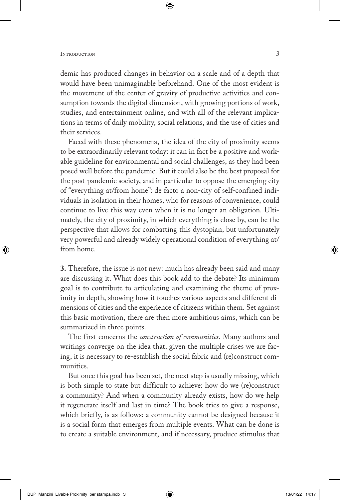demic has produced changes in behavior on a scale and of a depth that would have been unimaginable beforehand. One of the most evident is the movement of the center of gravity of productive activities and consumption towards the digital dimension, with growing portions of work, studies, and entertainment online, and with all of the relevant implications in terms of daily mobility, social relations, and the use of cities and their services.

Faced with these phenomena, the idea of the city of proximity seems to be extraordinarily relevant today: it can in fact be a positive and workable guideline for environmental and social challenges, as they had been posed well before the pandemic. But it could also be the best proposal for the post-pandemic society, and in particular to oppose the emerging city of "everything at/from home": de facto a non-city of self-confined individuals in isolation in their homes, who for reasons of convenience, could continue to live this way even when it is no longer an obligation. Ultimately, the city of proximity, in which everything is close by, can be the perspective that allows for combatting this dystopian, but unfortunately very powerful and already widely operational condition of everything at/ from home.

**3.** Therefore, the issue is not new: much has already been said and many are discussing it. What does this book add to the debate? Its minimum goal is to contribute to articulating and examining the theme of proximity in depth, showing how it touches various aspects and different dimensions of cities and the experience of citizens within them. Set against this basic motivation, there are then more ambitious aims, which can be summarized in three points.

The first concerns the *construction of communities*. Many authors and writings converge on the idea that, given the multiple crises we are facing, it is necessary to re-establish the social fabric and (re)construct communities.

But once this goal has been set, the next step is usually missing, which is both simple to state but difficult to achieve: how do we (re)construct a community? And when a community already exists, how do we help it regenerate itself and last in time? The book tries to give a response, which briefly, is as follows: a community cannot be designed because it is a social form that emerges from multiple events. What can be done is to create a suitable environment, and if necessary, produce stimulus that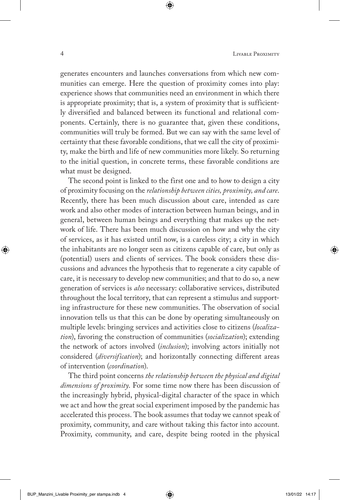generates encounters and launches conversations from which new communities can emerge. Here the question of proximity comes into play: experience shows that communities need an environment in which there is appropriate proximity; that is, a system of proximity that is sufficiently diversified and balanced between its functional and relational components. Certainly, there is no guarantee that, given these conditions, communities will truly be formed. But we can say with the same level of certainty that these favorable conditions, that we call the city of proximity, make the birth and life of new communities more likely. So returning to the initial question, in concrete terms, these favorable conditions are what must be designed.

The second point is linked to the first one and to how to design a city of proximity focusing on the *relationship between cities, proximity, and care*. Recently, there has been much discussion about care, intended as care work and also other modes of interaction between human beings, and in general, between human beings and everything that makes up the network of life. There has been much discussion on how and why the city of services, as it has existed until now, is a careless city; a city in which the inhabitants are no longer seen as citizens capable of care, but only as (potential) users and clients of services. The book considers these discussions and advances the hypothesis that to regenerate a city capable of care, it is necessary to develop new communities; and that to do so, a new generation of services is *also* necessary: collaborative services, distributed throughout the local territory, that can represent a stimulus and supporting infrastructure for these new communities. The observation of social innovation tells us that this can be done by operating simultaneously on multiple levels: bringing services and activities close to citizens (*localization*), favoring the construction of communities (*socialization*); extending the network of actors involved (*inclusion*); involving actors initially not considered (*diversification*); and horizontally connecting different areas of intervention (*coordination*).

The third point concerns *the relationship between the physical and digital dimensions of proximity*. For some time now there has been discussion of the increasingly hybrid, physical-digital character of the space in which we act and how the great social experiment imposed by the pandemic has accelerated this process. The book assumes that today we cannot speak of proximity, community, and care without taking this factor into account. Proximity, community, and care, despite being rooted in the physical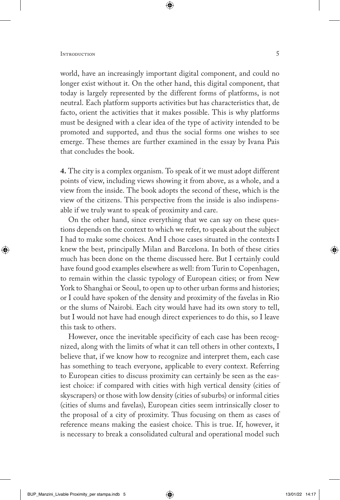world, have an increasingly important digital component, and could no longer exist without it. On the other hand, this digital component, that today is largely represented by the different forms of platforms, is not neutral. Each platform supports activities but has characteristics that, de facto, orient the activities that it makes possible. This is why platforms must be designed with a clear idea of the type of activity intended to be promoted and supported, and thus the social forms one wishes to see emerge. These themes are further examined in the essay by Ivana Pais that concludes the book.

**4.** The city is a complex organism. To speak of it we must adopt different points of view, including views showing it from above, as a whole, and a view from the inside. The book adopts the second of these, which is the view of the citizens. This perspective from the inside is also indispensable if we truly want to speak of proximity and care.

On the other hand, since everything that we can say on these questions depends on the context to which we refer, to speak about the subject I had to make some choices. And I chose cases situated in the contexts I knew the best, principally Milan and Barcelona. In both of these cities much has been done on the theme discussed here. But I certainly could have found good examples elsewhere as well: from Turin to Copenhagen, to remain within the classic typology of European cities; or from New York to Shanghai or Seoul, to open up to other urban forms and histories; or I could have spoken of the density and proximity of the favelas in Rio or the slums of Nairobi. Each city would have had its own story to tell, but I would not have had enough direct experiences to do this, so I leave this task to others.

However, once the inevitable specificity of each case has been recognized, along with the limits of what it can tell others in other contexts, I believe that, if we know how to recognize and interpret them, each case has something to teach everyone, applicable to every context. Referring to European cities to discuss proximity can certainly be seen as the easiest choice: if compared with cities with high vertical density (cities of skyscrapers) or those with low density (cities of suburbs) or informal cities (cities of slums and favelas), European cities seem intrinsically closer to the proposal of a city of proximity. Thus focusing on them as cases of reference means making the easiest choice. This is true. If, however, it is necessary to break a consolidated cultural and operational model such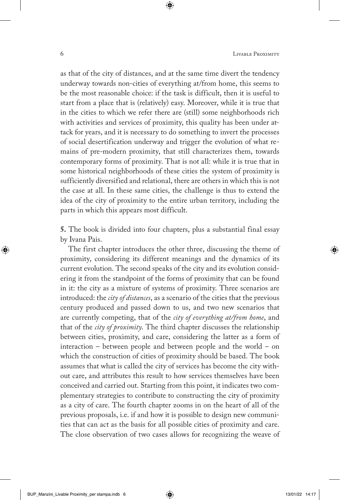as that of the city of distances, and at the same time divert the tendency underway towards non-cities of everything at/from home, this seems to be the most reasonable choice: if the task is difficult, then it is useful to start from a place that is (relatively) easy. Moreover, while it is true that in the cities to which we refer there are (still) some neighborhoods rich with activities and services of proximity, this quality has been under attack for years, and it is necessary to do something to invert the processes of social desertification underway and trigger the evolution of what remains of pre-modern proximity, that still characterizes them, towards contemporary forms of proximity. That is not all: while it is true that in some historical neighborhoods of these cities the system of proximity is sufficiently diversified and relational, there are others in which this is not the case at all. In these same cities, the challenge is thus to extend the idea of the city of proximity to the entire urban territory, including the parts in which this appears most difficult.

**5.** The book is divided into four chapters, plus a substantial final essay by Ivana Pais.

The first chapter introduces the other three, discussing the theme of proximity, considering its different meanings and the dynamics of its current evolution. The second speaks of the city and its evolution considering it from the standpoint of the forms of proximity that can be found in it: the city as a mixture of systems of proximity. Three scenarios are introduced: the *city of distances*, as a scenario of the cities that the previous century produced and passed down to us, and two new scenarios that are currently competing, that of the *city of everything at/from home*, and that of the *city of proximity*. The third chapter discusses the relationship between cities, proximity, and care, considering the latter as a form of interaction – between people and between people and the world – on which the construction of cities of proximity should be based. The book assumes that what is called the city of services has become the city without care, and attributes this result to how services themselves have been conceived and carried out. Starting from this point, it indicates two complementary strategies to contribute to constructing the city of proximity as a city of care. The fourth chapter zooms in on the heart of all of the previous proposals, i.e. if and how it is possible to design new communities that can act as the basis for all possible cities of proximity and care. The close observation of two cases allows for recognizing the weave of